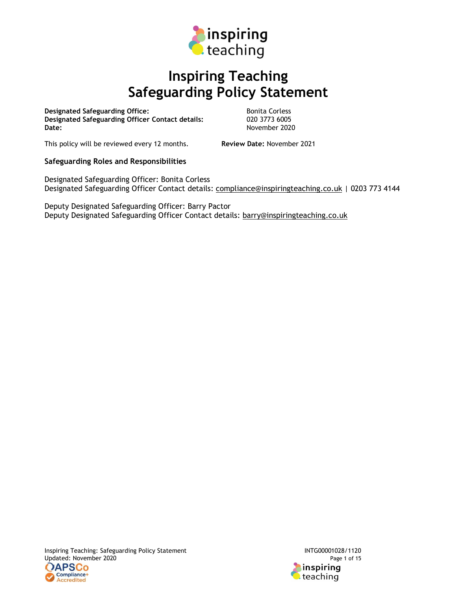

# Inspiring Teaching Safeguarding Policy Statement

Designated Safeguarding Office:<br>
Designated Safeguarding Officer Contact details: 020 3773 6005 Designated Safeguarding Officer Contact details:<br>Date:

November 2020

This policy will be reviewed every 12 months. Review Date: November 2021

# Safeguarding Roles and Responsibilities

Designated Safeguarding Officer: Bonita Corless Designated Safeguarding Officer Contact details: compliance@inspiringteaching.co.uk | 0203 773 4144

Deputy Designated Safeguarding Officer: Barry Pactor Deputy Designated Safeguarding Officer Contact details: barry@inspiringteaching.co.uk

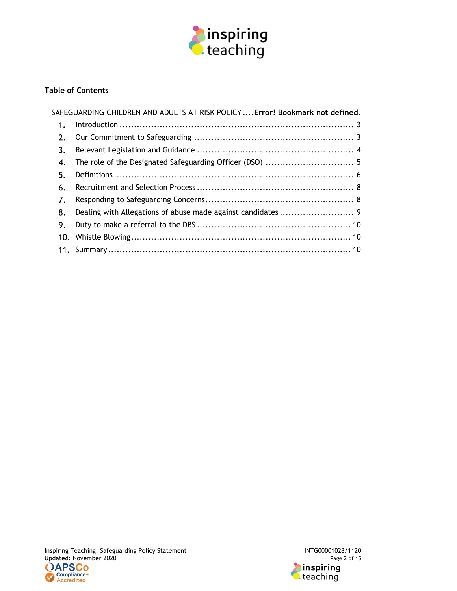

# Table of Contents

|     | SAFEGUARDING CHILDREN AND ADULTS AT RISK POLICY  Error! Bookmark not defined. |
|-----|-------------------------------------------------------------------------------|
| 1.  |                                                                               |
| 2.  |                                                                               |
| 3.  |                                                                               |
| 4.  |                                                                               |
| 5.  |                                                                               |
| 6.  |                                                                               |
| 7.  |                                                                               |
| 8.  |                                                                               |
| 9.  |                                                                               |
| 10. |                                                                               |
|     |                                                                               |

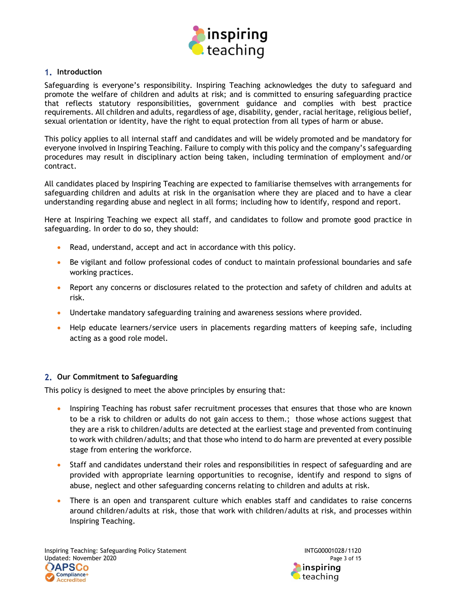

## 1. Introduction

Safeguarding is everyone's responsibility. Inspiring Teaching acknowledges the duty to safeguard and promote the welfare of children and adults at risk; and is committed to ensuring safeguarding practice that reflects statutory responsibilities, government guidance and complies with best practice requirements. All children and adults, regardless of age, disability, gender, racial heritage, religious belief, sexual orientation or identity, have the right to equal protection from all types of harm or abuse.

This policy applies to all internal staff and candidates and will be widely promoted and be mandatory for everyone involved in Inspiring Teaching. Failure to comply with this policy and the company's safeguarding procedures may result in disciplinary action being taken, including termination of employment and/or contract.

All candidates placed by Inspiring Teaching are expected to familiarise themselves with arrangements for safeguarding children and adults at risk in the organisation where they are placed and to have a clear understanding regarding abuse and neglect in all forms; including how to identify, respond and report.

Here at Inspiring Teaching we expect all staff, and candidates to follow and promote good practice in safeguarding. In order to do so, they should:

- Read, understand, accept and act in accordance with this policy.
- Be vigilant and follow professional codes of conduct to maintain professional boundaries and safe working practices.
- Report any concerns or disclosures related to the protection and safety of children and adults at risk.
- Undertake mandatory safeguarding training and awareness sessions where provided.
- Help educate learners/service users in placements regarding matters of keeping safe, including acting as a good role model.

#### 2. Our Commitment to Safeguarding

This policy is designed to meet the above principles by ensuring that:

- Inspiring Teaching has robust safer recruitment processes that ensures that those who are known to be a risk to children or adults do not gain access to them.; those whose actions suggest that they are a risk to children/adults are detected at the earliest stage and prevented from continuing to work with children/adults; and that those who intend to do harm are prevented at every possible stage from entering the workforce.
- Staff and candidates understand their roles and responsibilities in respect of safeguarding and are provided with appropriate learning opportunities to recognise, identify and respond to signs of abuse, neglect and other safeguarding concerns relating to children and adults at risk.
- There is an open and transparent culture which enables staff and candidates to raise concerns around children/adults at risk, those that work with children/adults at risk, and processes within Inspiring Teaching.

Inspiring Teaching: Safeguarding Policy Statement<br>11120 Updated: November 2020 Updated: November 2020

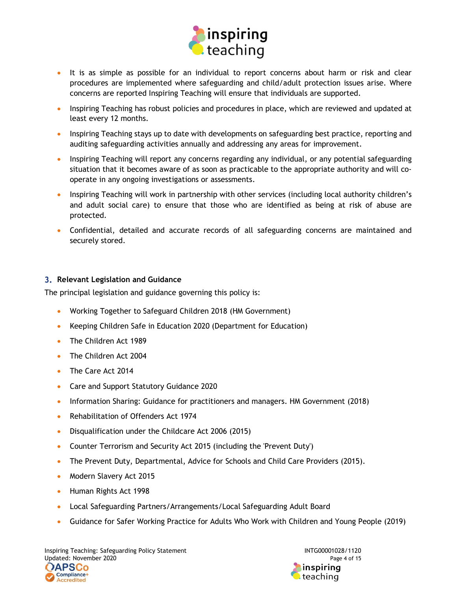

- It is as simple as possible for an individual to report concerns about harm or risk and clear procedures are implemented where safeguarding and child/adult protection issues arise. Where concerns are reported Inspiring Teaching will ensure that individuals are supported.
- **Inspiring Teaching has robust policies and procedures in place, which are reviewed and updated at** least every 12 months.
- Inspiring Teaching stays up to date with developments on safeguarding best practice, reporting and auditing safeguarding activities annually and addressing any areas for improvement.
- Inspiring Teaching will report any concerns regarding any individual, or any potential safeguarding situation that it becomes aware of as soon as practicable to the appropriate authority and will cooperate in any ongoing investigations or assessments.
- Inspiring Teaching will work in partnership with other services (including local authority children's and adult social care) to ensure that those who are identified as being at risk of abuse are protected.
- Confidential, detailed and accurate records of all safeguarding concerns are maintained and securely stored.

# 3. Relevant Legislation and Guidance

The principal legislation and guidance governing this policy is:

- Working Together to Safeguard Children 2018 (HM Government)
- Keeping Children Safe in Education 2020 (Department for Education)
- The Children Act 1989
- The Children Act 2004
- The Care Act 2014
- Care and Support Statutory Guidance 2020
- Information Sharing: Guidance for practitioners and managers. HM Government (2018)
- Rehabilitation of Offenders Act 1974
- Disqualification under the Childcare Act 2006 (2015)
- Counter Terrorism and Security Act 2015 (including the 'Prevent Duty')
- The Prevent Duty, Departmental, Advice for Schools and Child Care Providers (2015).
- Modern Slavery Act 2015
- Human Rights Act 1998
- Local Safeguarding Partners/Arrangements/Local Safeguarding Adult Board
- Guidance for Safer Working Practice for Adults Who Work with Children and Young People (2019)

Inspiring Teaching: Safeguarding Policy Statement<br>11120 Updated: November 2020 Updated: November 2020

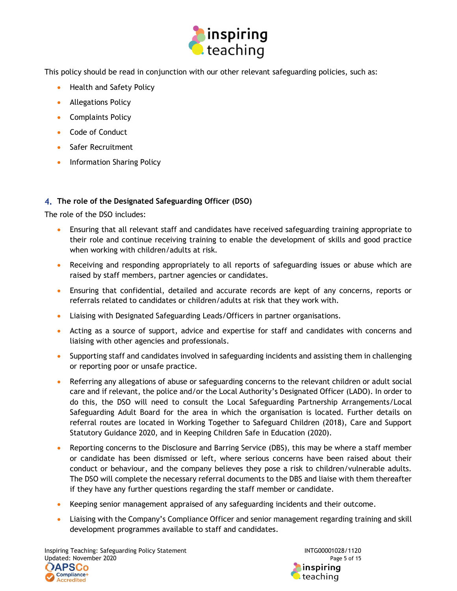

This policy should be read in conjunction with our other relevant safeguarding policies, such as:

- Health and Safety Policy
- **•** Allegations Policy
- Complaints Policy
- Code of Conduct
- Safer Recruitment
- Information Sharing Policy

# 4. The role of the Designated Safeguarding Officer (DSO)

The role of the DSO includes:

- Ensuring that all relevant staff and candidates have received safeguarding training appropriate to their role and continue receiving training to enable the development of skills and good practice when working with children/adults at risk.
- Receiving and responding appropriately to all reports of safeguarding issues or abuse which are raised by staff members, partner agencies or candidates.
- Ensuring that confidential, detailed and accurate records are kept of any concerns, reports or referrals related to candidates or children/adults at risk that they work with.
- Liaising with Designated Safeguarding Leads/Officers in partner organisations.
- Acting as a source of support, advice and expertise for staff and candidates with concerns and liaising with other agencies and professionals.
- Supporting staff and candidates involved in safeguarding incidents and assisting them in challenging or reporting poor or unsafe practice.
- Referring any allegations of abuse or safeguarding concerns to the relevant children or adult social care and if relevant, the police and/or the Local Authority's Designated Officer (LADO). In order to do this, the DSO will need to consult the Local Safeguarding Partnership Arrangements/Local Safeguarding Adult Board for the area in which the organisation is located. Further details on referral routes are located in Working Together to Safeguard Children (2018), Care and Support Statutory Guidance 2020, and in Keeping Children Safe in Education (2020).
- Reporting concerns to the Disclosure and Barring Service (DBS), this may be where a staff member or candidate has been dismissed or left, where serious concerns have been raised about their conduct or behaviour, and the company believes they pose a risk to children/vulnerable adults. The DSO will complete the necessary referral documents to the DBS and liaise with them thereafter if they have any further questions regarding the staff member or candidate.
- Keeping senior management appraised of any safeguarding incidents and their outcome.
- Liaising with the Company's Compliance Officer and senior management regarding training and skill development programmes available to staff and candidates.

Inspiring Teaching: Safeguarding Policy Statement INTG00001028/1120 Updated: November 2020 Page 5 of 15

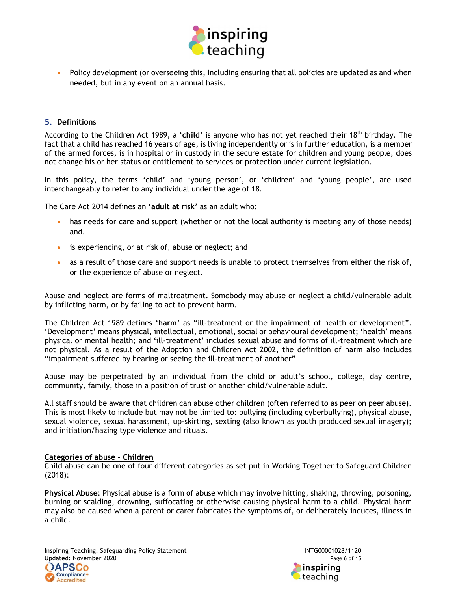

 Policy development (or overseeing this, including ensuring that all policies are updated as and when needed, but in any event on an annual basis.

#### **5. Definitions**

According to the Children Act 1989, a 'child' is anyone who has not yet reached their 18<sup>th</sup> birthday. The fact that a child has reached 16 years of age, is living independently or is in further education, is a member of the armed forces, is in hospital or in custody in the secure estate for children and young people, does not change his or her status or entitlement to services or protection under current legislation.

In this policy, the terms 'child' and 'young person', or 'children' and 'young people', are used interchangeably to refer to any individual under the age of 18.

The Care Act 2014 defines an 'adult at risk' as an adult who:

- has needs for care and support (whether or not the local authority is meeting any of those needs) and.
- is experiencing, or at risk of, abuse or neglect; and
- as a result of those care and support needs is unable to protect themselves from either the risk of, or the experience of abuse or neglect.

Abuse and neglect are forms of maltreatment. Somebody may abuse or neglect a child/vulnerable adult by inflicting harm, or by failing to act to prevent harm.

The Children Act 1989 defines 'harm' as "ill-treatment or the impairment of health or development". 'Development' means physical, intellectual, emotional, social or behavioural development; 'health' means physical or mental health; and 'ill-treatment' includes sexual abuse and forms of ill-treatment which are not physical. As a result of the Adoption and Children Act 2002, the definition of harm also includes "impairment suffered by hearing or seeing the ill-treatment of another"

Abuse may be perpetrated by an individual from the child or adult's school, college, day centre, community, family, those in a position of trust or another child/vulnerable adult.

All staff should be aware that children can abuse other children (often referred to as peer on peer abuse). This is most likely to include but may not be limited to: bullying (including cyberbullying), physical abuse, sexual violence, sexual harassment, up-skirting, sexting (also known as youth produced sexual imagery); and initiation/hazing type violence and rituals.

#### Categories of abuse - Children

Child abuse can be one of four different categories as set put in Working Together to Safeguard Children (2018):

Physical Abuse: Physical abuse is a form of abuse which may involve hitting, shaking, throwing, poisoning, burning or scalding, drowning, suffocating or otherwise causing physical harm to a child. Physical harm may also be caused when a parent or carer fabricates the symptoms of, or deliberately induces, illness in a child.

Inspiring Teaching: Safeguarding Policy Statement<br>1120 Updated: November 2020 Updated: November 2020



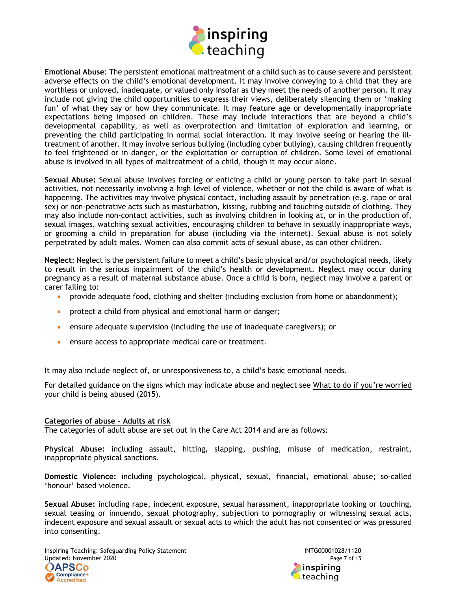

Emotional Abuse: The persistent emotional maltreatment of a child such as to cause severe and persistent adverse effects on the child's emotional development. It may involve conveying to a child that they are worthless or unloved, inadequate, or valued only insofar as they meet the needs of another person. It may include not giving the child opportunities to express their views, deliberately silencing them or 'making fun' of what they say or how they communicate. It may feature age or developmentally inappropriate expectations being imposed on children. These may include interactions that are beyond a child's developmental capability, as well as overprotection and limitation of exploration and learning, or preventing the child participating in normal social interaction. It may involve seeing or hearing the illtreatment of another. It may involve serious bullying (including cyber bullying), causing children frequently to feel frightened or in danger, or the exploitation or corruption of children. Some level of emotional abuse is involved in all types of maltreatment of a child, though it may occur alone.

Sexual Abuse: Sexual abuse involves forcing or enticing a child or young person to take part in sexual activities, not necessarily involving a high level of violence, whether or not the child is aware of what is happening. The activities may involve physical contact, including assault by penetration (e.g. rape or oral sex) or non-penetrative acts such as masturbation, kissing, rubbing and touching outside of clothing. They may also include non-contact activities, such as involving children in looking at, or in the production of, sexual images, watching sexual activities, encouraging children to behave in sexually inappropriate ways, or grooming a child in preparation for abuse (including via the internet). Sexual abuse is not solely perpetrated by adult males. Women can also commit acts of sexual abuse, as can other children.

Neglect: Neglect is the persistent failure to meet a child's basic physical and/or psychological needs, likely to result in the serious impairment of the child's health or development. Neglect may occur during pregnancy as a result of maternal substance abuse. Once a child is born, neglect may involve a parent or carer failing to:

- provide adequate food, clothing and shelter (including exclusion from home or abandonment);
- protect a child from physical and emotional harm or danger;
- ensure adequate supervision (including the use of inadequate caregivers); or
- ensure access to appropriate medical care or treatment.

It may also include neglect of, or unresponsiveness to, a child's basic emotional needs.

For detailed guidance on the signs which may indicate abuse and neglect see What to do if you're worried your child is being abused (2015).

#### Categories of abuse - Adults at risk

The categories of adult abuse are set out in the Care Act 2014 and are as follows:

Physical Abuse: including assault, hitting, slapping, pushing, misuse of medication, restraint, inappropriate physical sanctions.

Domestic Violence: including psychological, physical, sexual, financial, emotional abuse; so-called 'honour' based violence.

Sexual Abuse: including rape, indecent exposure, sexual harassment, inappropriate looking or touching, sexual teasing or innuendo, sexual photography, subjection to pornography or witnessing sexual acts, indecent exposure and sexual assault or sexual acts to which the adult has not consented or was pressured into consenting.

Inspiring Teaching: Safeguarding Policy Statement INTG00001028/1120 Updated: November 2020 Page 7 of 15

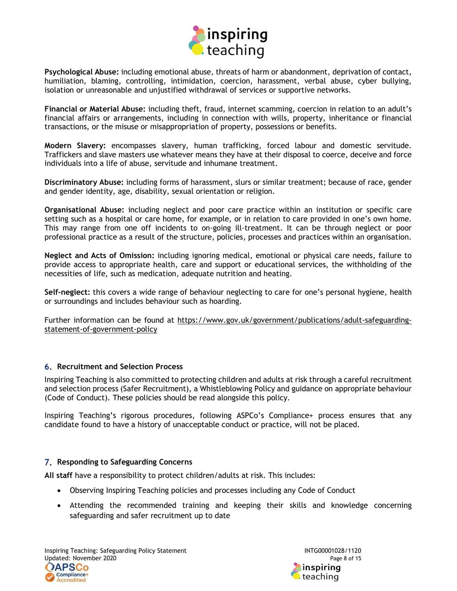

Psychological Abuse: including emotional abuse, threats of harm or abandonment, deprivation of contact, humiliation, blaming, controlling, intimidation, coercion, harassment, verbal abuse, cyber bullying, isolation or unreasonable and unjustified withdrawal of services or supportive networks.

Financial or Material Abuse: including theft, fraud, internet scamming, coercion in relation to an adult's financial affairs or arrangements, including in connection with wills, property, inheritance or financial transactions, or the misuse or misappropriation of property, possessions or benefits.

Modern Slavery: encompasses slavery, human trafficking, forced labour and domestic servitude. Traffickers and slave masters use whatever means they have at their disposal to coerce, deceive and force individuals into a life of abuse, servitude and inhumane treatment.

Discriminatory Abuse: including forms of harassment, slurs or similar treatment; because of race, gender and gender identity, age, disability, sexual orientation or religion.

Organisational Abuse: including neglect and poor care practice within an institution or specific care setting such as a hospital or care home, for example, or in relation to care provided in one's own home. This may range from one off incidents to on-going ill-treatment. It can be through neglect or poor professional practice as a result of the structure, policies, processes and practices within an organisation.

Neglect and Acts of Omission: including ignoring medical, emotional or physical care needs, failure to provide access to appropriate health, care and support or educational services, the withholding of the necessities of life, such as medication, adequate nutrition and heating.

Self-neglect: this covers a wide range of behaviour neglecting to care for one's personal hygiene, health or surroundings and includes behaviour such as hoarding.

Further information can be found at https://www.gov.uk/government/publications/adult-safeguardingstatement-of-government-policy

#### **6. Recruitment and Selection Process**

Inspiring Teaching is also committed to protecting children and adults at risk through a careful recruitment and selection process (Safer Recruitment), a Whistleblowing Policy and guidance on appropriate behaviour (Code of Conduct). These policies should be read alongside this policy.

Inspiring Teaching's rigorous procedures, following ASPCo's Compliance+ process ensures that any candidate found to have a history of unacceptable conduct or practice, will not be placed.

#### 7. Responding to Safeguarding Concerns

All staff have a responsibility to protect children/adults at risk. This includes:

- Observing Inspiring Teaching policies and processes including any Code of Conduct
- Attending the recommended training and keeping their skills and knowledge concerning safeguarding and safer recruitment up to date

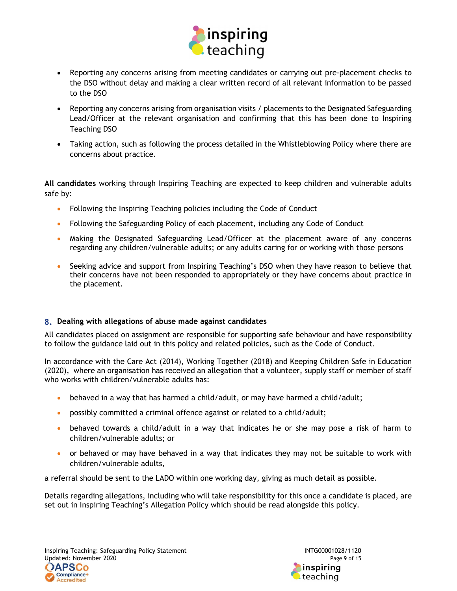

- Reporting any concerns arising from meeting candidates or carrying out pre-placement checks to the DSO without delay and making a clear written record of all relevant information to be passed to the DSO
- Reporting any concerns arising from organisation visits / placements to the Designated Safeguarding Lead/Officer at the relevant organisation and confirming that this has been done to Inspiring Teaching DSO
- Taking action, such as following the process detailed in the Whistleblowing Policy where there are concerns about practice.

All candidates working through Inspiring Teaching are expected to keep children and vulnerable adults safe by:

- Following the Inspiring Teaching policies including the Code of Conduct
- Following the Safeguarding Policy of each placement, including any Code of Conduct
- Making the Designated Safeguarding Lead/Officer at the placement aware of any concerns regarding any children/vulnerable adults; or any adults caring for or working with those persons
- Seeking advice and support from Inspiring Teaching's DSO when they have reason to believe that their concerns have not been responded to appropriately or they have concerns about practice in the placement.

# 8. Dealing with allegations of abuse made against candidates

All candidates placed on assignment are responsible for supporting safe behaviour and have responsibility to follow the guidance laid out in this policy and related policies, such as the Code of Conduct.

In accordance with the Care Act (2014), Working Together (2018) and Keeping Children Safe in Education (2020), where an organisation has received an allegation that a volunteer, supply staff or member of staff who works with children/vulnerable adults has:

- behaved in a way that has harmed a child/adult, or may have harmed a child/adult;
- possibly committed a criminal offence against or related to a child/adult;
- behaved towards a child/adult in a way that indicates he or she may pose a risk of harm to children/vulnerable adults; or
- or behaved or may have behaved in a way that indicates they may not be suitable to work with children/vulnerable adults,

a referral should be sent to the LADO within one working day, giving as much detail as possible.

Details regarding allegations, including who will take responsibility for this once a candidate is placed, are set out in Inspiring Teaching's Allegation Policy which should be read alongside this policy.

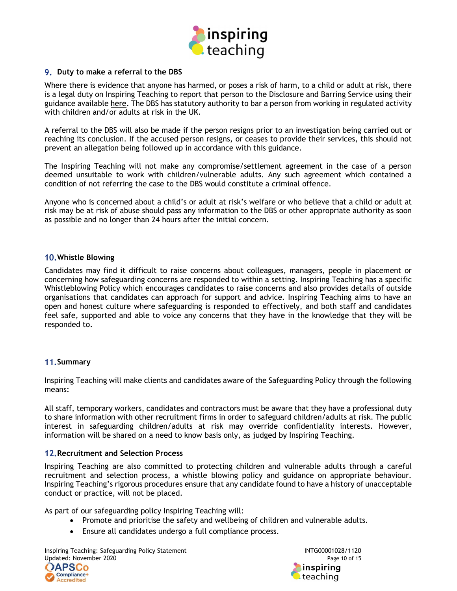

## 9. Duty to make a referral to the DBS

Where there is evidence that anyone has harmed, or poses a risk of harm, to a child or adult at risk, there is a legal duty on Inspiring Teaching to report that person to the Disclosure and Barring Service using their guidance available here. The DBS has statutory authority to bar a person from working in regulated activity with children and/or adults at risk in the UK.

A referral to the DBS will also be made if the person resigns prior to an investigation being carried out or reaching its conclusion. If the accused person resigns, or ceases to provide their services, this should not prevent an allegation being followed up in accordance with this guidance.

The Inspiring Teaching will not make any compromise/settlement agreement in the case of a person deemed unsuitable to work with children/vulnerable adults. Any such agreement which contained a condition of not referring the case to the DBS would constitute a criminal offence.

Anyone who is concerned about a child's or adult at risk's welfare or who believe that a child or adult at risk may be at risk of abuse should pass any information to the DBS or other appropriate authority as soon as possible and no longer than 24 hours after the initial concern.

#### Whistle Blowing

Candidates may find it difficult to raise concerns about colleagues, managers, people in placement or concerning how safeguarding concerns are responded to within a setting. Inspiring Teaching has a specific Whistleblowing Policy which encourages candidates to raise concerns and also provides details of outside organisations that candidates can approach for support and advice. Inspiring Teaching aims to have an open and honest culture where safeguarding is responded to effectively, and both staff and candidates feel safe, supported and able to voice any concerns that they have in the knowledge that they will be responded to.

#### 11. Summary

Inspiring Teaching will make clients and candidates aware of the Safeguarding Policy through the following means:

All staff, temporary workers, candidates and contractors must be aware that they have a professional duty to share information with other recruitment firms in order to safeguard children/adults at risk. The public interest in safeguarding children/adults at risk may override confidentiality interests. However, information will be shared on a need to know basis only, as judged by Inspiring Teaching.

#### 12. Recruitment and Selection Process

Inspiring Teaching are also committed to protecting children and vulnerable adults through a careful recruitment and selection process, a whistle blowing policy and guidance on appropriate behaviour. Inspiring Teaching's rigorous procedures ensure that any candidate found to have a history of unacceptable conduct or practice, will not be placed.

As part of our safeguarding policy Inspiring Teaching will:

- Promote and prioritise the safety and wellbeing of children and vulnerable adults.
- Ensure all candidates undergo a full compliance process.

Inspiring Teaching: Safeguarding Policy Statement<br>10 INTG00001028/1120<br>Page 10 of 15 Updated: November 2020

![](_page_9_Picture_17.jpeg)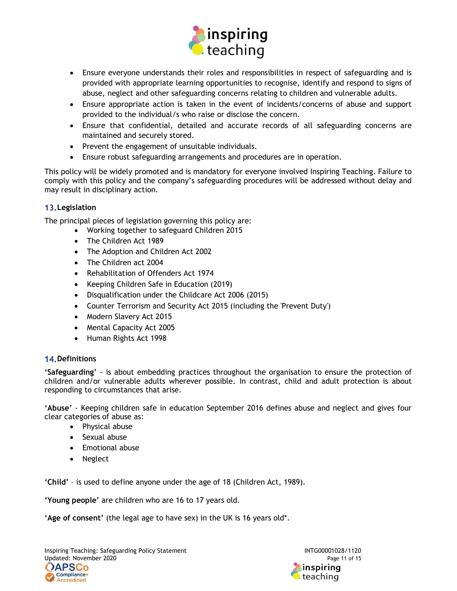![](_page_10_Picture_0.jpeg)

- Ensure everyone understands their roles and responsibilities in respect of safeguarding and is provided with appropriate learning opportunities to recognise, identify and respond to signs of abuse, neglect and other safeguarding concerns relating to children and vulnerable adults.
- Ensure appropriate action is taken in the event of incidents/concerns of abuse and support provided to the individual/s who raise or disclose the concern.
- Ensure that confidential, detailed and accurate records of all safeguarding concerns are maintained and securely stored.
- Prevent the engagement of unsuitable individuals.
- Ensure robust safeguarding arrangements and procedures are in operation.

This policy will be widely promoted and is mandatory for everyone involved Inspiring Teaching. Failure to comply with this policy and the company's safeguarding procedures will be addressed without delay and may result in disciplinary action.

## 13. Legislation

The principal pieces of legislation governing this policy are:

- Working together to safeguard Children 2015
	- The Children Act 1989
	- The Adoption and Children Act 2002
	- The Children act 2004
	- Rehabilitation of Offenders Act 1974
	- Keeping Children Safe in Education (2019)
	- Disqualification under the Childcare Act 2006 (2015)
	- Counter Terrorism and Security Act 2015 (including the 'Prevent Duty')
	- Modern Slavery Act 2015
	- Mental Capacity Act 2005
	- Human Rights Act 1998

#### 14. Definitions

'Safeguarding' - is about embedding practices throughout the organisation to ensure the protection of children and/or vulnerable adults wherever possible. In contrast, child and adult protection is about responding to circumstances that arise.

'Abuse' - Keeping children safe in education September 2016 defines abuse and neglect and gives four clear categories of abuse as:

- Physical abuse
- Sexual abuse
- Emotional abuse
- Neglect

'Child' – is used to define anyone under the age of 18 (Children Act, 1989).

'Young people' are children who are 16 to 17 years old.

'Age of consent' (the legal age to have sex) in the UK is 16 years old\*.

Inspiring Teaching: Safeguarding Policy Statement<br>11 Updated: November 2020 Page 11 of 15 Updated: November 2020

![](_page_10_Picture_31.jpeg)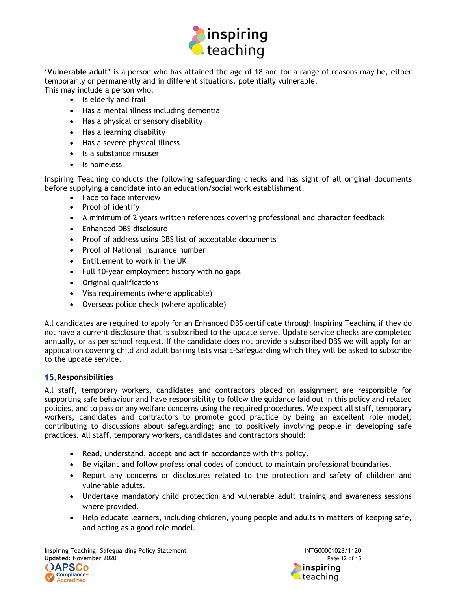![](_page_11_Picture_0.jpeg)

'Vulnerable adult' is a person who has attained the age of 18 and for a range of reasons may be, either temporarily or permanently and in different situations, potentially vulnerable. This may include a person who:

- Is elderly and frail
- Has a mental illness including dementia
- Has a physical or sensory disability
- Has a learning disability
- Has a severe physical illness
- Is a substance misuser
- Is homeless

Inspiring Teaching conducts the following safeguarding checks and has sight of all original documents before supplying a candidate into an education/social work establishment.

- Face to face interview
- Proof of identify
- A minimum of 2 years written references covering professional and character feedback
- Enhanced DBS disclosure
- Proof of address using DBS list of acceptable documents
- Proof of National Insurance number
- Entitlement to work in the UK
- Full 10-year employment history with no gaps
- Original qualifications
- Visa requirements (where applicable)
- Overseas police check (where applicable)

All candidates are required to apply for an Enhanced DBS certificate through Inspiring Teaching if they do not have a current disclosure that is subscribed to the update serve. Update service checks are completed annually, or as per school request. If the candidate does not provide a subscribed DBS we will apply for an application covering child and adult barring lists visa E-Safeguarding which they will be asked to subscribe to the update service.

#### 15. Responsibilities

All staff, temporary workers, candidates and contractors placed on assignment are responsible for supporting safe behaviour and have responsibility to follow the guidance laid out in this policy and related policies, and to pass on any welfare concerns using the required procedures. We expect all staff, temporary workers, candidates and contractors to promote good practice by being an excellent role model; contributing to discussions about safeguarding; and to positively involving people in developing safe practices. All staff, temporary workers, candidates and contractors should:

- Read, understand, accept and act in accordance with this policy.
- Be vigilant and follow professional codes of conduct to maintain professional boundaries.
- Report any concerns or disclosures related to the protection and safety of children and vulnerable adults.
- Undertake mandatory child protection and vulnerable adult training and awareness sessions where provided.
- Help educate learners, including children, young people and adults in matters of keeping safe, and acting as a good role model.

Inspiring Teaching: Safeguarding Policy Statement<br>120 Updated: November 2020 Updated: November 2020

![](_page_11_Picture_30.jpeg)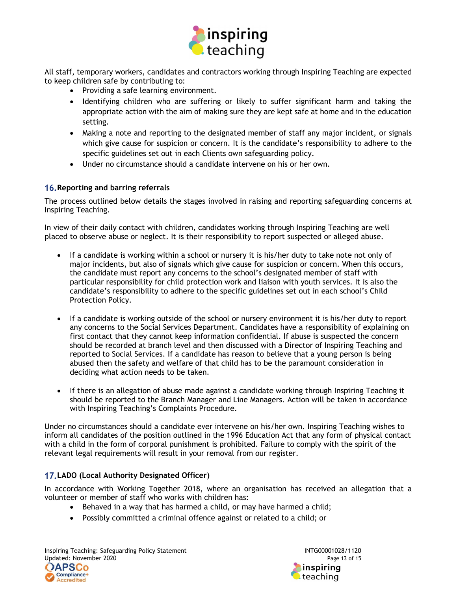![](_page_12_Picture_0.jpeg)

All staff, temporary workers, candidates and contractors working through Inspiring Teaching are expected to keep children safe by contributing to:

- Providing a safe learning environment.
- Identifying children who are suffering or likely to suffer significant harm and taking the appropriate action with the aim of making sure they are kept safe at home and in the education setting.
- Making a note and reporting to the designated member of staff any major incident, or signals which give cause for suspicion or concern. It is the candidate's responsibility to adhere to the specific guidelines set out in each Clients own safeguarding policy.
- Under no circumstance should a candidate intervene on his or her own.

# 16. Reporting and barring referrals

The process outlined below details the stages involved in raising and reporting safeguarding concerns at Inspiring Teaching.

In view of their daily contact with children, candidates working through Inspiring Teaching are well placed to observe abuse or neglect. It is their responsibility to report suspected or alleged abuse.

- If a candidate is working within a school or nursery it is his/her duty to take note not only of major incidents, but also of signals which give cause for suspicion or concern. When this occurs, the candidate must report any concerns to the school's designated member of staff with particular responsibility for child protection work and liaison with youth services. It is also the candidate's responsibility to adhere to the specific guidelines set out in each school's Child Protection Policy.
- If a candidate is working outside of the school or nursery environment it is his/her duty to report any concerns to the Social Services Department. Candidates have a responsibility of explaining on first contact that they cannot keep information confidential. If abuse is suspected the concern should be recorded at branch level and then discussed with a Director of Inspiring Teaching and reported to Social Services. If a candidate has reason to believe that a young person is being abused then the safety and welfare of that child has to be the paramount consideration in deciding what action needs to be taken.
- If there is an allegation of abuse made against a candidate working through Inspiring Teaching it should be reported to the Branch Manager and Line Managers. Action will be taken in accordance with Inspiring Teaching's Complaints Procedure.

Under no circumstances should a candidate ever intervene on his/her own. Inspiring Teaching wishes to inform all candidates of the position outlined in the 1996 Education Act that any form of physical contact with a child in the form of corporal punishment is prohibited. Failure to comply with the spirit of the relevant legal requirements will result in your removal from our register.

# 17. LADO (Local Authority Designated Officer)

In accordance with Working Together 2018, where an organisation has received an allegation that a volunteer or member of staff who works with children has:

- Behaved in a way that has harmed a child, or may have harmed a child;
- Possibly committed a criminal offence against or related to a child; or

Inspiring Teaching: Safeguarding Policy Statement<br>13 Updated: November 2020<br>Page 13 of 15 Updated: November 2020

![](_page_12_Picture_18.jpeg)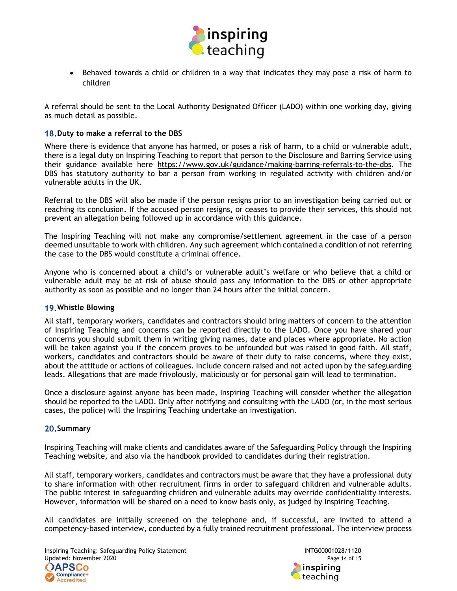![](_page_13_Picture_0.jpeg)

• Behaved towards a child or children in a way that indicates they may pose a risk of harm to children

A referral should be sent to the Local Authority Designated Officer (LADO) within one working day, giving as much detail as possible.

#### 18. Duty to make a referral to the DBS

Where there is evidence that anyone has harmed, or poses a risk of harm, to a child or vulnerable adult, there is a legal duty on Inspiring Teaching to report that person to the Disclosure and Barring Service using their guidance available here https://www.gov.uk/guidance/making-barring-referrals-to-the-dbs. The DBS has statutory authority to bar a person from working in regulated activity with children and/or vulnerable adults in the UK.

Referral to the DBS will also be made if the person resigns prior to an investigation being carried out or reaching its conclusion. If the accused person resigns, or ceases to provide their services, this should not prevent an allegation being followed up in accordance with this guidance.

The Inspiring Teaching will not make any compromise/settlement agreement in the case of a person deemed unsuitable to work with children. Any such agreement which contained a condition of not referring the case to the DBS would constitute a criminal offence.

Anyone who is concerned about a child's or vulnerable adult's welfare or who believe that a child or vulnerable adult may be at risk of abuse should pass any information to the DBS or other appropriate authority as soon as possible and no longer than 24 hours after the initial concern.

#### Whistle Blowing

All staff, temporary workers, candidates and contractors should bring matters of concern to the attention of Inspiring Teaching and concerns can be reported directly to the LADO. Once you have shared your concerns you should submit them in writing giving names, date and places where appropriate. No action will be taken against you if the concern proves to be unfounded but was raised in good faith. All staff, workers, candidates and contractors should be aware of their duty to raise concerns, where they exist, about the attitude or actions of colleagues. Include concern raised and not acted upon by the safeguarding leads. Allegations that are made frivolously, maliciously or for personal gain will lead to termination.

Once a disclosure against anyone has been made, Inspiring Teaching will consider whether the allegation should be reported to the LADO. Only after notifying and consulting with the LADO (or, in the most serious cases, the police) will the Inspiring Teaching undertake an investigation.

#### 20. Summary

Inspiring Teaching will make clients and candidates aware of the Safeguarding Policy through the Inspiring Teaching website, and also via the handbook provided to candidates during their registration.

All staff, temporary workers, candidates and contractors must be aware that they have a professional duty to share information with other recruitment firms in order to safeguard children and vulnerable adults. The public interest in safeguarding children and vulnerable adults may override confidentiality interests. However, information will be shared on a need to know basis only, as judged by Inspiring Teaching.

All candidates are initially screened on the telephone and, if successful, are invited to attend a competency-based interview, conducted by a fully trained recruitment professional. The interview process

Inspiring Teaching: Safeguarding Policy Statement Inspiring Teaching: Safeguarding Policy Statement Intervalue<br>Indiated: November 2020 Updated: November 2020

![](_page_13_Picture_16.jpeg)